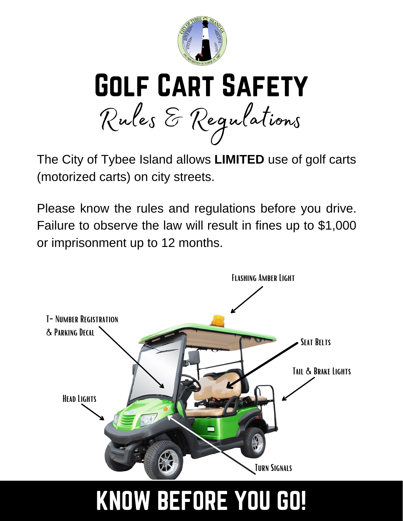



The City of Tybee Island allows **LIMITED** use of golf carts (motorized carts) on city streets.

Please know the rules and regulations before you drive. Failure to observe the law will result in fines up to \$1,000 or imprisonment up to 12 months.